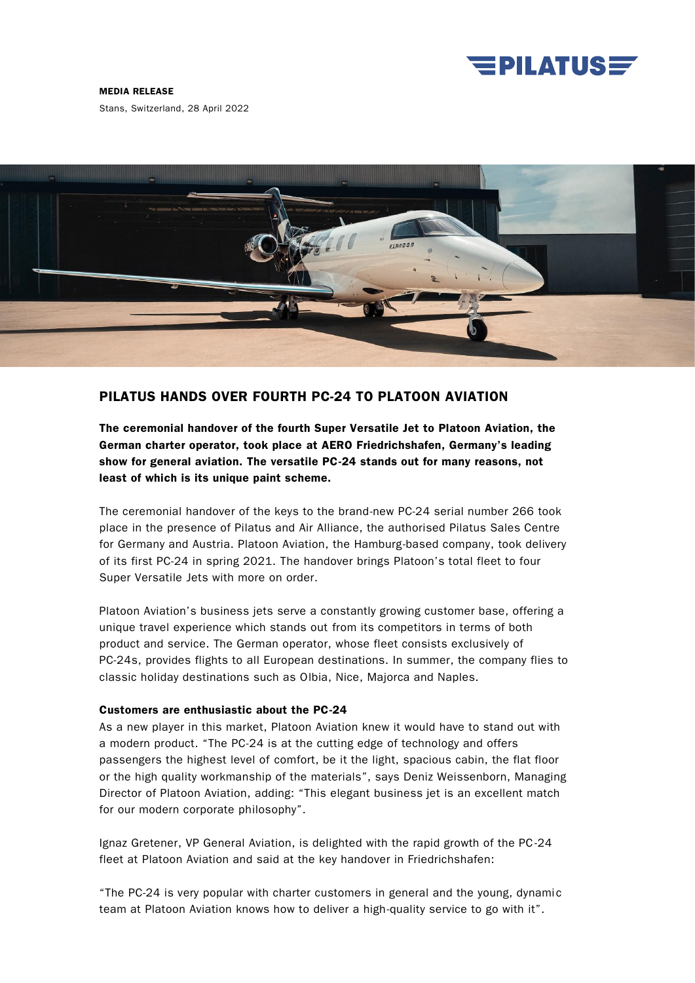

MEDIA RELEASE

Stans, Switzerland, 28 April 2022



## PILATUS HANDS OVER FOURTH PC-24 TO PLATOON AVIATION

The ceremonial handover of the fourth Super Versatile Jet to Platoon Aviation, the German charter operator, took place at AERO Friedrichshafen, Germany's leading show for general aviation. The versatile PC-24 stands out for many reasons, not least of which is its unique paint scheme.

The ceremonial handover of the keys to the brand-new PC-24 serial number 266 took place in the presence of Pilatus and Air Alliance, the authorised Pilatus Sales Centre for Germany and Austria. Platoon Aviation, the Hamburg-based company, took delivery of its first PC-24 in spring 2021. The handover brings Platoon's total fleet to four Super Versatile Jets with more on order.

Platoon Aviation's business jets serve a constantly growing customer base, offering a unique travel experience which stands out from its competitors in terms of both product and service. The German operator, whose fleet consists exclusively of PC-24s, provides flights to all European destinations. In summer, the company flies to classic holiday destinations such as Olbia, Nice, Majorca and Naples.

## Customers are enthusiastic about the PC-24

As a new player in this market, Platoon Aviation knew it would have to stand out with a modern product. "The PC-24 is at the cutting edge of technology and offers passengers the highest level of comfort, be it the light, spacious cabin, the flat floor or the high quality workmanship of the materials", says Deniz Weissenborn, Managing Director of Platoon Aviation, adding: "This elegant business jet is an excellent match for our modern corporate philosophy".

Ignaz Gretener, VP General Aviation, is delighted with the rapid growth of the PC-24 fleet at Platoon Aviation and said at the key handover in Friedrichshafen:

"The PC-24 is very popular with charter customers in general and the young, dynami c team at Platoon Aviation knows how to deliver a high-quality service to go with it".